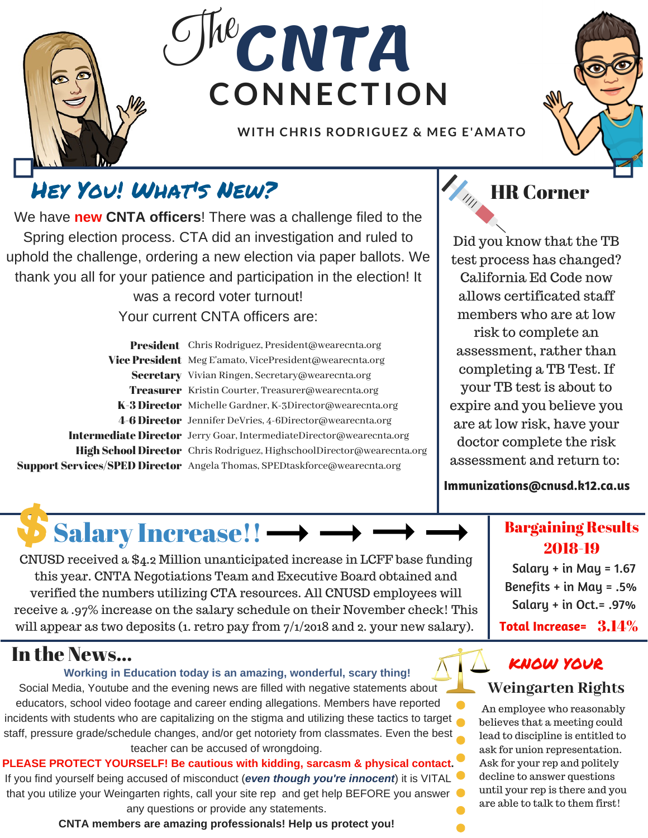

# **CONNECTION CNTA**  $C$ The

**WITH CHRIS RODRIGUEZ & MEG E'AMATO**



### Hey You! WHAT's NEW?  $\mathcal{H}_{\kappa}$  HR Corner

We have **new CNTA officers**! There was a challenge filed to the Spring election process. CTA did an investigation and ruled to uphold the challenge, ordering a new election via paper ballots. We thank you all for your patience and participation in the election! It was a record voter turnout! Your current CNTA officers are:

President Chris Rodriguez, President@wearecnta.org Vice President Meg E'amato, VicePresident@wearecnta.org Secretary Vivian Ringen, Secretary@wearecnta.org Treasurer Kristin Courter, Treasurer@wearecnta.org K-3 Director Michelle Gardner, K-3Director@wearecnta.org 4-6 Director Jennifer DeVries, 4-6Director@wearecnta.org Intermediate Director Jerry Goar, IntermediateDirector@wearecnta.org High School Director Chris Rodriguez, HighschoolDirector@wearecnta.org Support Services/SPED Director Angela Thomas, SPEDtaskforce@wearecnta.org

Salary Increase!!  $\longrightarrow$ 



Did you know that the TB test process has changed? California Ed Code now allows certificated staff members who are at low risk to complete an assessment, rather than completing a TB Test. If your TB test is about to expire and you believe you are at low risk, have your doctor complete the risk assessment and return to:

**Immunizations@cnusd.k12.ca.us**

### Bargaining Results 2018-19

Salary + in May = 1.67 Benefits + in May = .5% Salary + in Oct.= .97% **Total Increase=** 3.14%

### In the News...

#### **Working in Education today is an amazing, wonderful, scary thing!**

CNUSD received a \$4.2 Million unanticipated increase in LCFF base funding this year. CNTA Negotiations Team and Executive Board obtained and verified the numbers utilizing CTA resources. All CNUSD employees will receive a .97% increase on the salary schedule on their November check! This will appear as two deposits (1. retro pay from  $7/1/2018$  and 2. your new salary).

Social Media, Youtube and the evening news are filled with negative statements about educators, school video footage and career ending allegations. Members have reported incidents with students who are capitalizing on the stigma and utilizing these tactics to target staff, pressure grade/schedule changes, and/or get notoriety from classmates. Even the best teacher can be accused of wrongdoing.

**PLEASE PROTECT YOURSELF! Be cautious with kidding, sarcasm & physical contact.** If you find yourself being accused of misconduct (*even though you're innocent*) it is VITAL that you utilize your Weingarten rights, call your site rep and get help BEFORE you answer any questions or provide any statements.

**CNTA members are amazing professionals! Help us protect you!**

### **Weingarten Rights** KNOW YOUR

An employee who reasonably believes that a meeting could lead to discipline is entitled to ask for union representation. Ask for your rep and politely decline to answer questions until your rep is there and you are able to talk to them first!